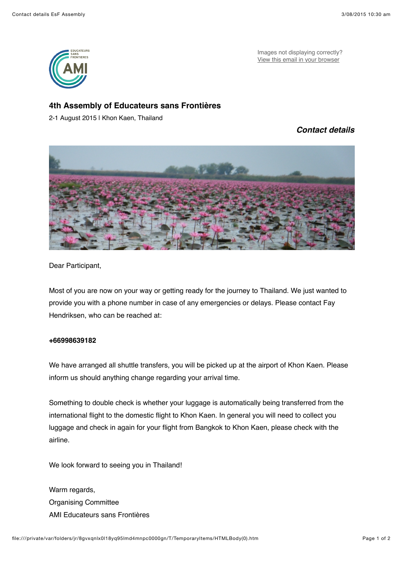

Images not displaying correctly? [View this email in your browser](http://us8.campaign-archive1.com/?u=c88399bf67899d671064b293c&id=156afdea51&e=b7f516caeb)

## **4th Assembly of Educateurs sans Frontières**

2-1 August 2015 | Khon Kaen, Thailand

## *Contact details*



Dear Participant,

Most of you are now on your way or getting ready for the journey to Thailand. We just wanted to provide you with a phone number in case of any emergencies or delays. Please contact Fay Hendriksen, who can be reached at:

## **+66998639182**

We have arranged all shuttle transfers, you will be picked up at the airport of Khon Kaen. Please inform us should anything change regarding your arrival time.

Something to double check is whether your luggage is automatically being transferred from the international flight to the domestic flight to Khon Kaen. In general you will need to collect you luggage and check in again for your flight from Bangkok to Khon Kaen, please check with the airline.

We look forward to seeing you in Thailand!

Warm regards, Organising Committee AMI Educateurs sans Frontières